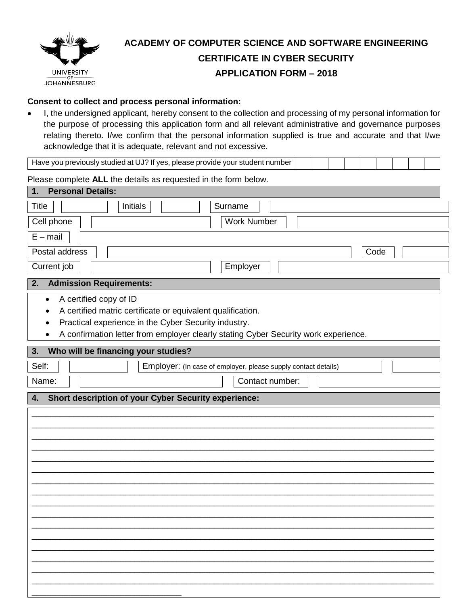

# **ACADEMY OF COMPUTER SCIENCE AND SOFTWARE ENGINEERING CERTIFICATE IN CYBER SECURITY APPLICATION FORM – 2018**

## **Consent to collect and process personal information:**

• I, the undersigned applicant, hereby consent to the collection and processing of my personal information for the purpose of processing this application form and all relevant administrative and governance purposes relating thereto. I/we confirm that the personal information supplied is true and accurate and that I/we acknowledge that it is adequate, relevant and not excessive.

Have you previously studied at UJ? If yes, please provide your student number

Please complete **ALL** the details as requested in the form below.

| <b>Personal Details:</b><br>1.                                                                                                                                                                                                                              |
|-------------------------------------------------------------------------------------------------------------------------------------------------------------------------------------------------------------------------------------------------------------|
| Initials<br>Surname<br><b>Title</b>                                                                                                                                                                                                                         |
| Cell phone<br><b>Work Number</b>                                                                                                                                                                                                                            |
| $E - mail$                                                                                                                                                                                                                                                  |
| Postal address<br>Code                                                                                                                                                                                                                                      |
| Current job<br>Employer                                                                                                                                                                                                                                     |
| <b>Admission Requirements:</b><br>2.                                                                                                                                                                                                                        |
| A certified copy of ID<br>$\bullet$<br>A certified matric certificate or equivalent qualification.<br>٠<br>Practical experience in the Cyber Security industry.<br>٠<br>A confirmation letter from employer clearly stating Cyber Security work experience. |
| Who will be financing your studies?<br>3.                                                                                                                                                                                                                   |
| Self:<br>Employer: (In case of employer, please supply contact details)                                                                                                                                                                                     |
| Name:<br>Contact number:                                                                                                                                                                                                                                    |
|                                                                                                                                                                                                                                                             |
| Short description of your Cyber Security experience:<br>4.                                                                                                                                                                                                  |
|                                                                                                                                                                                                                                                             |
|                                                                                                                                                                                                                                                             |
|                                                                                                                                                                                                                                                             |
|                                                                                                                                                                                                                                                             |
|                                                                                                                                                                                                                                                             |
|                                                                                                                                                                                                                                                             |
|                                                                                                                                                                                                                                                             |
|                                                                                                                                                                                                                                                             |
|                                                                                                                                                                                                                                                             |
|                                                                                                                                                                                                                                                             |
|                                                                                                                                                                                                                                                             |